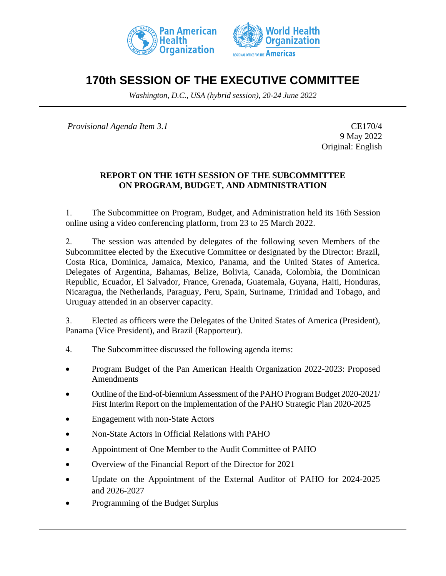



# **170th SESSION OF THE EXECUTIVE COMMITTEE**

*Washington, D.C., USA (hybrid session), 20-24 June 2022*

*Provisional Agenda Item 3.1* CE170/4

9 May 2022 Original: English

### **REPORT ON THE 16TH SESSION OF THE SUBCOMMITTEE ON PROGRAM, BUDGET, AND ADMINISTRATION**

1. The Subcommittee on Program, Budget, and Administration held its 16th Session online using a video conferencing platform, from 23 to 25 March 2022.

2. The session was attended by delegates of the following seven Members of the Subcommittee elected by the Executive Committee or designated by the Director: Brazil, Costa Rica, Dominica, Jamaica, Mexico, Panama, and the United States of America. Delegates of Argentina, Bahamas, Belize, Bolivia, Canada, Colombia, the Dominican Republic, Ecuador, El Salvador, France, Grenada, Guatemala, Guyana, Haiti, Honduras, Nicaragua, the Netherlands, Paraguay, Peru, Spain, Suriname, Trinidad and Tobago, and Uruguay attended in an observer capacity.

3. Elected as officers were the Delegates of the United States of America (President), Panama (Vice President), and Brazil (Rapporteur).

- 4. The Subcommittee discussed the following agenda items:
- Program Budget of the Pan American Health Organization 2022-2023: Proposed Amendments
- Outline of the End-of-biennium Assessment of the PAHO Program Budget 2020-2021/ First Interim Report on the Implementation of the PAHO Strategic Plan 2020-2025
- Engagement with non-State Actors
- Non-State Actors in Official Relations with PAHO
- Appointment of One Member to the Audit Committee of PAHO
- Overview of the Financial Report of the Director for 2021
- Update on the Appointment of the External Auditor of PAHO for 2024-2025 and 2026-2027
- Programming of the Budget Surplus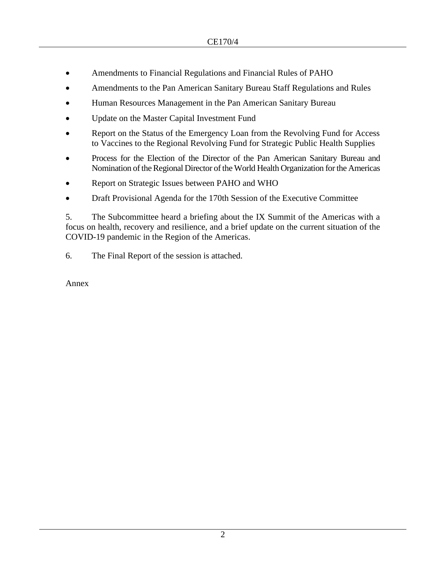- Amendments to Financial Regulations and Financial Rules of PAHO
- Amendments to the Pan American Sanitary Bureau Staff Regulations and Rules
- Human Resources Management in the Pan American Sanitary Bureau
- Update on the Master Capital Investment Fund
- Report on the Status of the Emergency Loan from the Revolving Fund for Access to Vaccines to the Regional Revolving Fund for Strategic Public Health Supplies
- Process for the Election of the Director of the Pan American Sanitary Bureau and Nomination of the Regional Director of the World Health Organization for the Americas
- Report on Strategic Issues between PAHO and WHO
- Draft Provisional Agenda for the 170th Session of the Executive Committee

5. The Subcommittee heard a briefing about the IX Summit of the Americas with a focus on health, recovery and resilience, and a brief update on the current situation of the COVID-19 pandemic in the Region of the Americas.

6. The Final Report of the session is attached.

Annex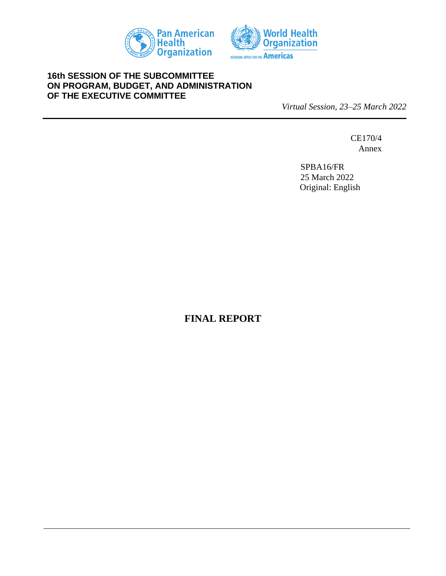



### **16th SESSION OF THE SUBCOMMITTEE ON PROGRAM, BUDGET, AND ADMINISTRATION OF THE EXECUTIVE COMMITTEE**

*Virtual Session, 23–25 March 2022*

CE170/4 Annex

SPBA16/FR 25 March 2022 Original: English

**FINAL REPORT**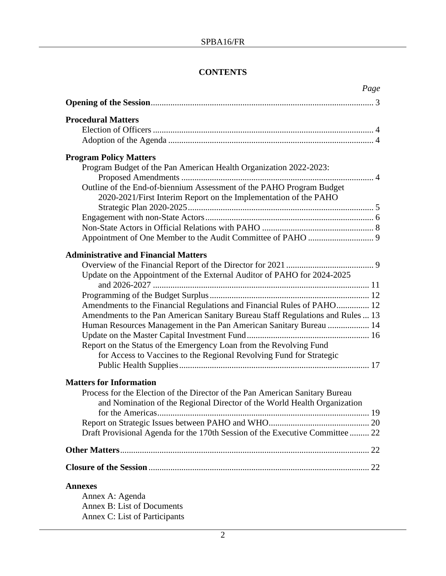# **CONTENTS**

| Page                                                                                                                                      |
|-------------------------------------------------------------------------------------------------------------------------------------------|
|                                                                                                                                           |
| <b>Procedural Matters</b>                                                                                                                 |
|                                                                                                                                           |
|                                                                                                                                           |
| <b>Program Policy Matters</b>                                                                                                             |
| Program Budget of the Pan American Health Organization 2022-2023:                                                                         |
| Outline of the End-of-biennium Assessment of the PAHO Program Budget                                                                      |
| 2020-2021/First Interim Report on the Implementation of the PAHO                                                                          |
|                                                                                                                                           |
|                                                                                                                                           |
|                                                                                                                                           |
|                                                                                                                                           |
| <b>Administrative and Financial Matters</b>                                                                                               |
|                                                                                                                                           |
| Update on the Appointment of the External Auditor of PAHO for 2024-2025                                                                   |
|                                                                                                                                           |
| Amendments to the Financial Regulations and Financial Rules of PAHO 12                                                                    |
| Amendments to the Pan American Sanitary Bureau Staff Regulations and Rules  13                                                            |
| Human Resources Management in the Pan American Sanitary Bureau  14                                                                        |
|                                                                                                                                           |
| Report on the Status of the Emergency Loan from the Revolving Fund<br>for Access to Vaccines to the Regional Revolving Fund for Strategic |
|                                                                                                                                           |
|                                                                                                                                           |
| <b>Matters for Information</b>                                                                                                            |
| Process for the Election of the Director of the Pan American Sanitary Bureau                                                              |
| and Nomination of the Regional Director of the World Health Organization                                                                  |
|                                                                                                                                           |
| Draft Provisional Agenda for the 170th Session of the Executive Committee 22                                                              |
|                                                                                                                                           |
|                                                                                                                                           |
|                                                                                                                                           |
| <b>Annexes</b>                                                                                                                            |
| Annex A: Agenda                                                                                                                           |
| <b>Annex B: List of Documents</b>                                                                                                         |
| Annex C: List of Participants                                                                                                             |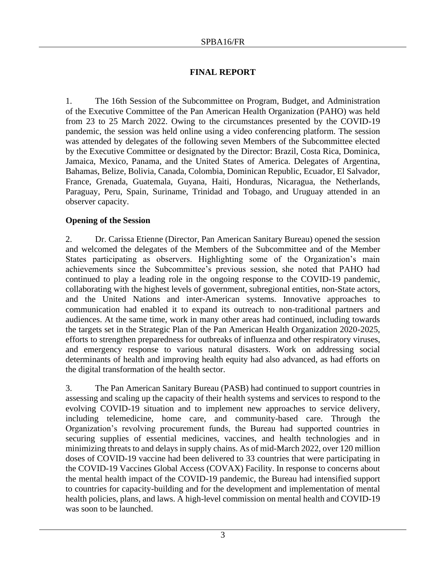# **FINAL REPORT**

1. The 16th Session of the Subcommittee on Program, Budget, and Administration of the Executive Committee of the Pan American Health Organization (PAHO) was held from 23 to 25 March 2022. Owing to the circumstances presented by the COVID-19 pandemic, the session was held online using a video conferencing platform. The session was attended by delegates of the following seven Members of the Subcommittee elected by the Executive Committee or designated by the Director: Brazil, Costa Rica, Dominica, Jamaica, Mexico, Panama, and the United States of America. Delegates of Argentina, Bahamas, Belize, Bolivia, Canada, Colombia, Dominican Republic, Ecuador, El Salvador, France, Grenada, Guatemala, Guyana, Haiti, Honduras, Nicaragua, the Netherlands, Paraguay, Peru, Spain, Suriname, Trinidad and Tobago, and Uruguay attended in an observer capacity.

# **Opening of the Session**

2. Dr. Carissa Etienne (Director, Pan American Sanitary Bureau) opened the session and welcomed the delegates of the Members of the Subcommittee and of the Member States participating as observers. Highlighting some of the Organization's main achievements since the Subcommittee's previous session, she noted that PAHO had continued to play a leading role in the ongoing response to the COVID-19 pandemic, collaborating with the highest levels of government, subregional entities, non-State actors, and the United Nations and inter-American systems. Innovative approaches to communication had enabled it to expand its outreach to non-traditional partners and audiences. At the same time, work in many other areas had continued, including towards the targets set in the Strategic Plan of the Pan American Health Organization 2020-2025, efforts to strengthen preparedness for outbreaks of influenza and other respiratory viruses, and emergency response to various natural disasters. Work on addressing social determinants of health and improving health equity had also advanced, as had efforts on the digital transformation of the health sector.

3. The Pan American Sanitary Bureau (PASB) had continued to support countries in assessing and scaling up the capacity of their health systems and services to respond to the evolving COVID-19 situation and to implement new approaches to service delivery, including telemedicine, home care, and community-based care. Through the Organization's revolving procurement funds, the Bureau had supported countries in securing supplies of essential medicines, vaccines, and health technologies and in minimizing threats to and delays in supply chains. As of mid-March 2022, over 120 million doses of COVID-19 vaccine had been delivered to 33 countries that were participating in the COVID-19 Vaccines Global Access (COVAX) Facility. In response to concerns about the mental health impact of the COVID-19 pandemic, the Bureau had intensified support to countries for capacity-building and for the development and implementation of mental health policies, plans, and laws. A high-level commission on mental health and COVID-19 was soon to be launched.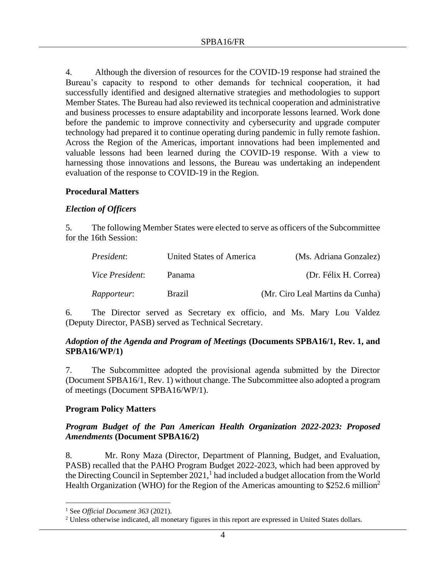4. Although the diversion of resources for the COVID-19 response had strained the Bureau's capacity to respond to other demands for technical cooperation, it had successfully identified and designed alternative strategies and methodologies to support Member States. The Bureau had also reviewed its technical cooperation and administrative and business processes to ensure adaptability and incorporate lessons learned. Work done before the pandemic to improve connectivity and cybersecurity and upgrade computer technology had prepared it to continue operating during pandemic in fully remote fashion. Across the Region of the Americas, important innovations had been implemented and valuable lessons had been learned during the COVID-19 response. With a view to harnessing those innovations and lessons, the Bureau was undertaking an independent evaluation of the response to COVID-19 in the Region.

### **Procedural Matters**

### *Election of Officers*

5. The following Member States were elected to serve as officers of the Subcommittee for the 16th Session:

| <i>President:</i>      | United States of America | (Ms. Adriana Gonzalez)           |
|------------------------|--------------------------|----------------------------------|
| <i>Vice President:</i> | Panama                   | (Dr. Félix H. Correa)            |
| <i>Rapporteur:</i>     | <b>Brazil</b>            | (Mr. Ciro Leal Martins da Cunha) |

6. The Director served as Secretary ex officio, and Ms. Mary Lou Valdez (Deputy Director, PASB) served as Technical Secretary.

### *Adoption of the Agenda and Program of Meetings* **(Documents SPBA16/1, Rev. 1, and SPBA16/WP/1)**

7. The Subcommittee adopted the provisional agenda submitted by the Director (Document SPBA16/1, Rev. 1) without change. The Subcommittee also adopted a program of meetings (Document SPBA16/WP/1).

### **Program Policy Matters**

### *Program Budget of the Pan American Health Organization 2022-2023: Proposed Amendments* **(Document SPBA16/2)**

8. Mr. Rony Maza (Director, Department of Planning, Budget, and Evaluation, PASB) recalled that the PAHO Program Budget 2022-2023, which had been approved by the Directing Council in September  $2021$ ,  $\frac{1}{1}$  had included a budget allocation from the World Health Organization (WHO) for the Region of the Americas amounting to  $$252.6$  million<sup>2</sup>

<sup>1</sup> See *Official Document 363* (2021).

<sup>&</sup>lt;sup>2</sup> Unless otherwise indicated, all monetary figures in this report are expressed in United States dollars.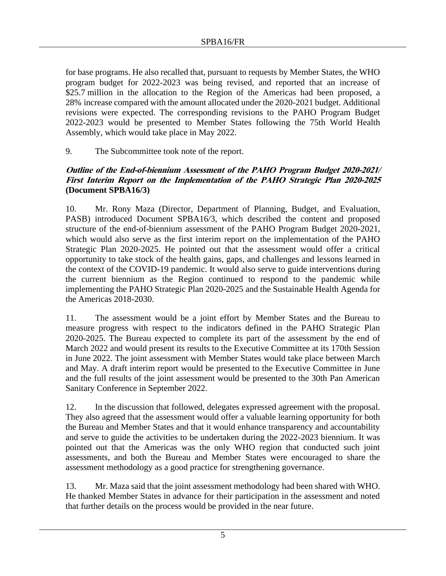for base programs. He also recalled that, pursuant to requests by Member States, the WHO program budget for 2022-2023 was being revised, and reported that an increase of \$25.7 million in the allocation to the Region of the Americas had been proposed, a 28% increase compared with the amount allocated under the 2020-2021 budget. Additional revisions were expected. The corresponding revisions to the PAHO Program Budget 2022-2023 would be presented to Member States following the 75th World Health Assembly, which would take place in May 2022.

9. The Subcommittee took note of the report.

# **Outline of the End-of-biennium Assessment of the PAHO Program Budget 2020-2021/ First Interim Report on the Implementation of the PAHO Strategic Plan 2020-2025 (Document SPBA16/3)**

10. Mr. Rony Maza (Director, Department of Planning, Budget, and Evaluation, PASB) introduced Document SPBA16/3, which described the content and proposed structure of the end-of-biennium assessment of the PAHO Program Budget 2020-2021, which would also serve as the first interim report on the implementation of the PAHO Strategic Plan 2020-2025. He pointed out that the assessment would offer a critical opportunity to take stock of the health gains, gaps, and challenges and lessons learned in the context of the COVID-19 pandemic. It would also serve to guide interventions during the current biennium as the Region continued to respond to the pandemic while implementing the PAHO Strategic Plan 2020-2025 and the Sustainable Health Agenda for the Americas 2018-2030.

11. The assessment would be a joint effort by Member States and the Bureau to measure progress with respect to the indicators defined in the PAHO Strategic Plan 2020-2025. The Bureau expected to complete its part of the assessment by the end of March 2022 and would present its results to the Executive Committee at its 170th Session in June 2022. The joint assessment with Member States would take place between March and May. A draft interim report would be presented to the Executive Committee in June and the full results of the joint assessment would be presented to the 30th Pan American Sanitary Conference in September 2022.

12. In the discussion that followed, delegates expressed agreement with the proposal. They also agreed that the assessment would offer a valuable learning opportunity for both the Bureau and Member States and that it would enhance transparency and accountability and serve to guide the activities to be undertaken during the 2022-2023 biennium. It was pointed out that the Americas was the only WHO region that conducted such joint assessments, and both the Bureau and Member States were encouraged to share the assessment methodology as a good practice for strengthening governance.

13. Mr. Maza said that the joint assessment methodology had been shared with WHO. He thanked Member States in advance for their participation in the assessment and noted that further details on the process would be provided in the near future.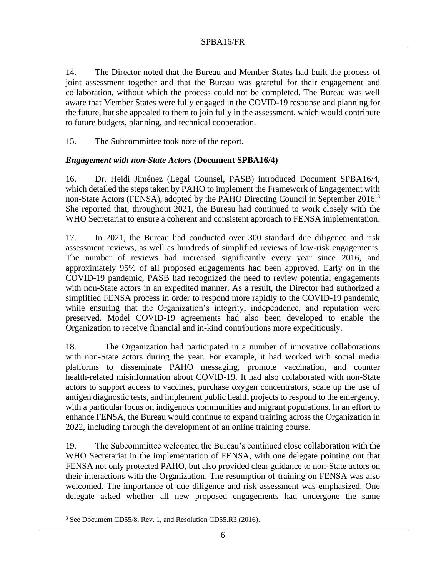14. The Director noted that the Bureau and Member States had built the process of joint assessment together and that the Bureau was grateful for their engagement and collaboration, without which the process could not be completed. The Bureau was well aware that Member States were fully engaged in the COVID-19 response and planning for the future, but she appealed to them to join fully in the assessment, which would contribute to future budgets, planning, and technical cooperation.

15. The Subcommittee took note of the report.

# *Engagement with non-State Actors* **(Document SPBA16/4)**

16. Dr. Heidi Jiménez (Legal Counsel, PASB) introduced Document SPBA16/4, which detailed the steps taken by PAHO to implement the Framework of Engagement with non-State Actors (FENSA), adopted by the PAHO Directing Council in September 2016.<sup>3</sup> She reported that, throughout 2021, the Bureau had continued to work closely with the WHO Secretariat to ensure a coherent and consistent approach to FENSA implementation.

17. In 2021, the Bureau had conducted over 300 standard due diligence and risk assessment reviews, as well as hundreds of simplified reviews of low-risk engagements. The number of reviews had increased significantly every year since 2016, and approximately 95% of all proposed engagements had been approved. Early on in the COVID-19 pandemic, PASB had recognized the need to review potential engagements with non-State actors in an expedited manner. As a result, the Director had authorized a simplified FENSA process in order to respond more rapidly to the COVID-19 pandemic, while ensuring that the Organization's integrity, independence, and reputation were preserved. Model COVID-19 agreements had also been developed to enable the Organization to receive financial and in-kind contributions more expeditiously.

18. The Organization had participated in a number of innovative collaborations with non-State actors during the year. For example, it had worked with social media platforms to disseminate PAHO messaging, promote vaccination, and counter health-related misinformation about COVID-19. It had also collaborated with non-State actors to support access to vaccines, purchase oxygen concentrators, scale up the use of antigen diagnostic tests, and implement public health projects to respond to the emergency, with a particular focus on indigenous communities and migrant populations. In an effort to enhance FENSA, the Bureau would continue to expand training across the Organization in 2022, including through the development of an online training course.

19. The Subcommittee welcomed the Bureau's continued close collaboration with the WHO Secretariat in the implementation of FENSA, with one delegate pointing out that FENSA not only protected PAHO, but also provided clear guidance to non-State actors on their interactions with the Organization. The resumption of training on FENSA was also welcomed. The importance of due diligence and risk assessment was emphasized. One delegate asked whether all new proposed engagements had undergone the same

<sup>&</sup>lt;sup>3</sup> See Document CD55/8, Rev. 1, and Resolution CD55.R3 (2016).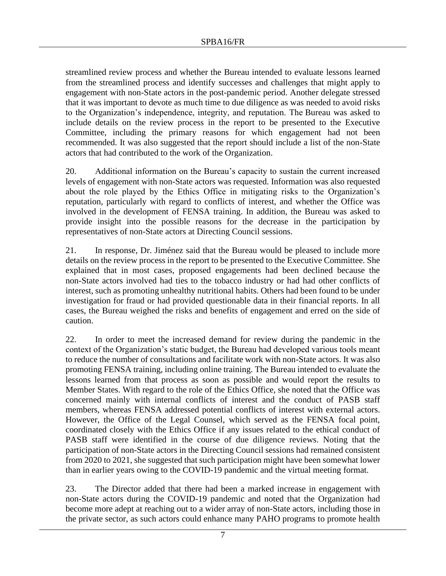streamlined review process and whether the Bureau intended to evaluate lessons learned from the streamlined process and identify successes and challenges that might apply to engagement with non-State actors in the post-pandemic period. Another delegate stressed that it was important to devote as much time to due diligence as was needed to avoid risks to the Organization's independence, integrity, and reputation. The Bureau was asked to include details on the review process in the report to be presented to the Executive Committee, including the primary reasons for which engagement had not been recommended. It was also suggested that the report should include a list of the non-State actors that had contributed to the work of the Organization.

20. Additional information on the Bureau's capacity to sustain the current increased levels of engagement with non-State actors was requested. Information was also requested about the role played by the Ethics Office in mitigating risks to the Organization's reputation, particularly with regard to conflicts of interest, and whether the Office was involved in the development of FENSA training. In addition, the Bureau was asked to provide insight into the possible reasons for the decrease in the participation by representatives of non-State actors at Directing Council sessions.

21. In response, Dr. Jiménez said that the Bureau would be pleased to include more details on the review process in the report to be presented to the Executive Committee. She explained that in most cases, proposed engagements had been declined because the non-State actors involved had ties to the tobacco industry or had had other conflicts of interest, such as promoting unhealthy nutritional habits. Others had been found to be under investigation for fraud or had provided questionable data in their financial reports. In all cases, the Bureau weighed the risks and benefits of engagement and erred on the side of caution.

22. In order to meet the increased demand for review during the pandemic in the context of the Organization's static budget, the Bureau had developed various tools meant to reduce the number of consultations and facilitate work with non-State actors. It was also promoting FENSA training, including online training. The Bureau intended to evaluate the lessons learned from that process as soon as possible and would report the results to Member States. With regard to the role of the Ethics Office, she noted that the Office was concerned mainly with internal conflicts of interest and the conduct of PASB staff members, whereas FENSA addressed potential conflicts of interest with external actors. However, the Office of the Legal Counsel, which served as the FENSA focal point, coordinated closely with the Ethics Office if any issues related to the ethical conduct of PASB staff were identified in the course of due diligence reviews. Noting that the participation of non-State actors in the Directing Council sessions had remained consistent from 2020 to 2021, she suggested that such participation might have been somewhat lower than in earlier years owing to the COVID-19 pandemic and the virtual meeting format.

23. The Director added that there had been a marked increase in engagement with non-State actors during the COVID-19 pandemic and noted that the Organization had become more adept at reaching out to a wider array of non-State actors, including those in the private sector, as such actors could enhance many PAHO programs to promote health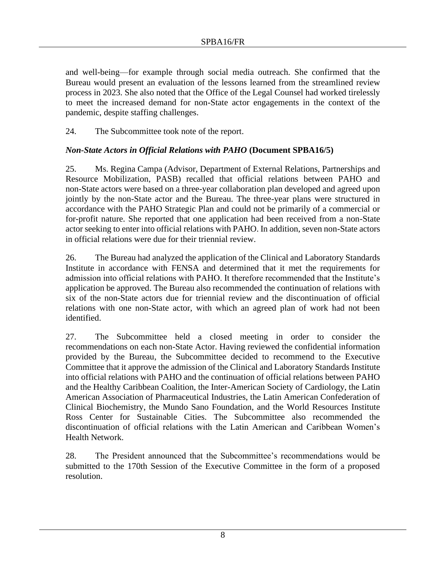and well-being—for example through social media outreach. She confirmed that the Bureau would present an evaluation of the lessons learned from the streamlined review process in 2023. She also noted that the Office of the Legal Counsel had worked tirelessly to meet the increased demand for non-State actor engagements in the context of the pandemic, despite staffing challenges.

24. The Subcommittee took note of the report.

# *Non-State Actors in Official Relations with PAHO* **(Document SPBA16/5)**

25. Ms. Regina Campa (Advisor, Department of External Relations, Partnerships and Resource Mobilization, PASB) recalled that official relations between PAHO and non-State actors were based on a three-year collaboration plan developed and agreed upon jointly by the non-State actor and the Bureau. The three-year plans were structured in accordance with the PAHO Strategic Plan and could not be primarily of a commercial or for-profit nature. She reported that one application had been received from a non-State actor seeking to enter into official relations with PAHO. In addition, seven non-State actors in official relations were due for their triennial review.

26. The Bureau had analyzed the application of the Clinical and Laboratory Standards Institute in accordance with FENSA and determined that it met the requirements for admission into official relations with PAHO. It therefore recommended that the Institute's application be approved. The Bureau also recommended the continuation of relations with six of the non-State actors due for triennial review and the discontinuation of official relations with one non-State actor, with which an agreed plan of work had not been identified.

27. The Subcommittee held a closed meeting in order to consider the recommendations on each non-State Actor. Having reviewed the confidential information provided by the Bureau, the Subcommittee decided to recommend to the Executive Committee that it approve the admission of the Clinical and Laboratory Standards Institute into official relations with PAHO and the continuation of official relations between PAHO and the Healthy Caribbean Coalition, the Inter-American Society of Cardiology, the Latin American Association of Pharmaceutical Industries, the Latin American Confederation of Clinical Biochemistry, the Mundo Sano Foundation, and the World Resources Institute Ross Center for Sustainable Cities. The Subcommittee also recommended the discontinuation of official relations with the Latin American and Caribbean Women's Health Network.

28. The President announced that the Subcommittee's recommendations would be submitted to the 170th Session of the Executive Committee in the form of a proposed resolution.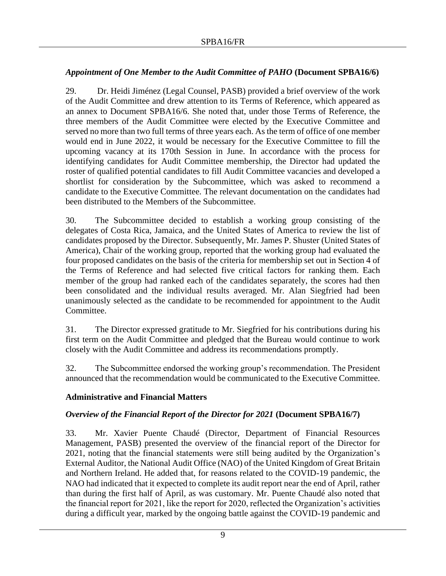# *Appointment of One Member to the Audit Committee of PAHO* **(Document SPBA16/6)**

29. Dr. Heidi Jiménez (Legal Counsel, PASB) provided a brief overview of the work of the Audit Committee and drew attention to its Terms of Reference, which appeared as an annex to Document SPBA16/6. She noted that, under those Terms of Reference, the three members of the Audit Committee were elected by the Executive Committee and served no more than two full terms of three years each. As the term of office of one member would end in June 2022, it would be necessary for the Executive Committee to fill the upcoming vacancy at its 170th Session in June. In accordance with the process for identifying candidates for Audit Committee membership, the Director had updated the roster of qualified potential candidates to fill Audit Committee vacancies and developed a shortlist for consideration by the Subcommittee, which was asked to recommend a candidate to the Executive Committee. The relevant documentation on the candidates had been distributed to the Members of the Subcommittee.

30. The Subcommittee decided to establish a working group consisting of the delegates of Costa Rica, Jamaica, and the United States of America to review the list of candidates proposed by the Director. Subsequently, Mr. James P. Shuster (United States of America), Chair of the working group, reported that the working group had evaluated the four proposed candidates on the basis of the criteria for membership set out in Section 4 of the Terms of Reference and had selected five critical factors for ranking them. Each member of the group had ranked each of the candidates separately, the scores had then been consolidated and the individual results averaged. Mr. Alan Siegfried had been unanimously selected as the candidate to be recommended for appointment to the Audit Committee.

31. The Director expressed gratitude to Mr. Siegfried for his contributions during his first term on the Audit Committee and pledged that the Bureau would continue to work closely with the Audit Committee and address its recommendations promptly.

32. The Subcommittee endorsed the working group's recommendation. The President announced that the recommendation would be communicated to the Executive Committee.

### **Administrative and Financial Matters**

### *Overview of the Financial Report of the Director for 2021* **(Document SPBA16/7)**

33. Mr. Xavier Puente Chaudé (Director, Department of Financial Resources Management, PASB) presented the overview of the financial report of the Director for 2021, noting that the financial statements were still being audited by the Organization's External Auditor, the National Audit Office (NAO) of the United Kingdom of Great Britain and Northern Ireland. He added that, for reasons related to the COVID-19 pandemic, the NAO had indicated that it expected to complete its audit report near the end of April, rather than during the first half of April, as was customary. Mr. Puente Chaudé also noted that the financial report for 2021, like the report for 2020, reflected the Organization's activities during a difficult year, marked by the ongoing battle against the COVID-19 pandemic and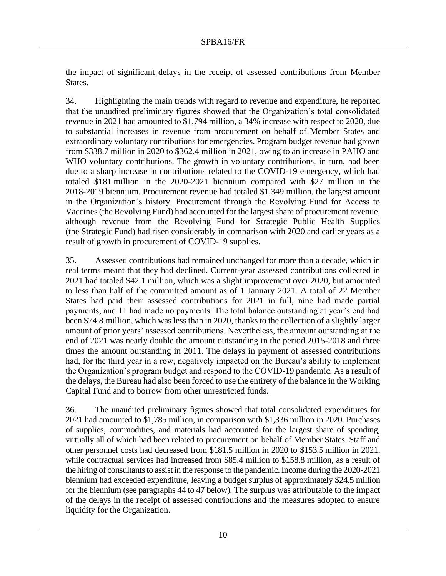the impact of significant delays in the receipt of assessed contributions from Member States.

34. Highlighting the main trends with regard to revenue and expenditure, he reported that the unaudited preliminary figures showed that the Organization's total consolidated revenue in 2021 had amounted to \$1,794 million, a 34% increase with respect to 2020, due to substantial increases in revenue from procurement on behalf of Member States and extraordinary voluntary contributions for emergencies. Program budget revenue had grown from \$338.7 million in 2020 to \$362.4 million in 2021, owing to an increase in PAHO and WHO voluntary contributions. The growth in voluntary contributions, in turn, had been due to a sharp increase in contributions related to the COVID-19 emergency, which had totaled \$181 million in the 2020-2021 biennium compared with \$27 million in the 2018-2019 biennium. Procurement revenue had totaled \$1,349 million, the largest amount in the Organization's history. Procurement through the Revolving Fund for Access to Vaccines (the Revolving Fund) had accounted for the largest share of procurement revenue, although revenue from the Revolving Fund for Strategic Public Health Supplies (the Strategic Fund) had risen considerably in comparison with 2020 and earlier years as a result of growth in procurement of COVID-19 supplies.

35. Assessed contributions had remained unchanged for more than a decade, which in real terms meant that they had declined. Current-year assessed contributions collected in 2021 had totaled \$42.1 million, which was a slight improvement over 2020, but amounted to less than half of the committed amount as of 1 January 2021. A total of 22 Member States had paid their assessed contributions for 2021 in full, nine had made partial payments, and 11 had made no payments. The total balance outstanding at year's end had been \$74.8 million, which was less than in 2020, thanks to the collection of a slightly larger amount of prior years' assessed contributions. Nevertheless, the amount outstanding at the end of 2021 was nearly double the amount outstanding in the period 2015-2018 and three times the amount outstanding in 2011. The delays in payment of assessed contributions had, for the third year in a row, negatively impacted on the Bureau's ability to implement the Organization's program budget and respond to the COVID-19 pandemic. As a result of the delays, the Bureau had also been forced to use the entirety of the balance in the Working Capital Fund and to borrow from other unrestricted funds.

36. The unaudited preliminary figures showed that total consolidated expenditures for 2021 had amounted to \$1,785 million, in comparison with \$1,336 million in 2020. Purchases of supplies, commodities, and materials had accounted for the largest share of spending, virtually all of which had been related to procurement on behalf of Member States. Staff and other personnel costs had decreased from \$181.5 million in 2020 to \$153.5 million in 2021, while contractual services had increased from \$85.4 million to \$158.8 million, as a result of the hiring of consultants to assist in the response to the pandemic. Income during the 2020-2021 biennium had exceeded expenditure, leaving a budget surplus of approximately \$24.5 million for the biennium (see paragraphs 44 to 47 below). The surplus was attributable to the impact of the delays in the receipt of assessed contributions and the measures adopted to ensure liquidity for the Organization.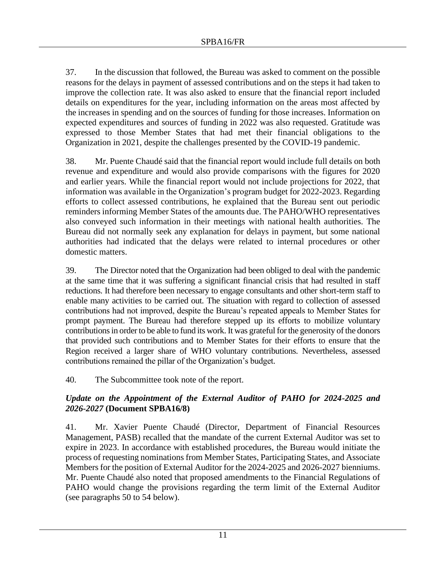37. In the discussion that followed, the Bureau was asked to comment on the possible reasons for the delays in payment of assessed contributions and on the steps it had taken to improve the collection rate. It was also asked to ensure that the financial report included details on expenditures for the year, including information on the areas most affected by the increases in spending and on the sources of funding for those increases. Information on expected expenditures and sources of funding in 2022 was also requested. Gratitude was expressed to those Member States that had met their financial obligations to the Organization in 2021, despite the challenges presented by the COVID-19 pandemic.

38. Mr. Puente Chaudé said that the financial report would include full details on both revenue and expenditure and would also provide comparisons with the figures for 2020 and earlier years. While the financial report would not include projections for 2022, that information was available in the Organization's program budget for 2022-2023. Regarding efforts to collect assessed contributions, he explained that the Bureau sent out periodic reminders informing Member States of the amounts due. The PAHO/WHO representatives also conveyed such information in their meetings with national health authorities. The Bureau did not normally seek any explanation for delays in payment, but some national authorities had indicated that the delays were related to internal procedures or other domestic matters.

39. The Director noted that the Organization had been obliged to deal with the pandemic at the same time that it was suffering a significant financial crisis that had resulted in staff reductions. It had therefore been necessary to engage consultants and other short-term staff to enable many activities to be carried out. The situation with regard to collection of assessed contributions had not improved, despite the Bureau's repeated appeals to Member States for prompt payment. The Bureau had therefore stepped up its efforts to mobilize voluntary contributions in order to be able to fund its work. It was grateful for the generosity of the donors that provided such contributions and to Member States for their efforts to ensure that the Region received a larger share of WHO voluntary contributions. Nevertheless, assessed contributions remained the pillar of the Organization's budget.

40. The Subcommittee took note of the report.

# *Update on the Appointment of the External Auditor of PAHO for 2024-2025 and 2026-2027* **(Document SPBA16/8)**

41. Mr. Xavier Puente Chaudé (Director, Department of Financial Resources Management, PASB) recalled that the mandate of the current External Auditor was set to expire in 2023. In accordance with established procedures, the Bureau would initiate the process of requesting nominations from Member States, Participating States, and Associate Members for the position of External Auditor for the 2024-2025 and 2026-2027 bienniums. Mr. Puente Chaudé also noted that proposed amendments to the Financial Regulations of PAHO would change the provisions regarding the term limit of the External Auditor (see paragraphs 50 to 54 below).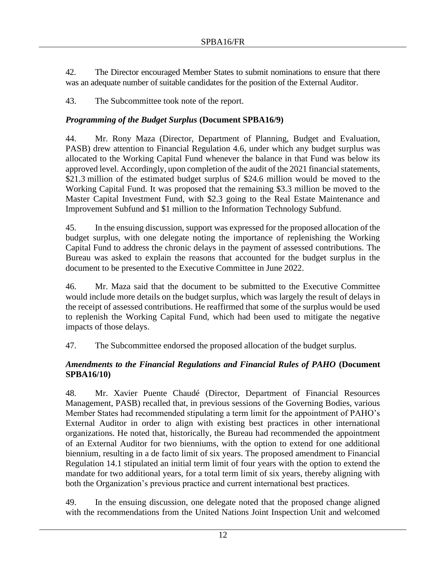42. The Director encouraged Member States to submit nominations to ensure that there was an adequate number of suitable candidates for the position of the External Auditor.

43. The Subcommittee took note of the report.

# *Programming of the Budget Surplus* **(Document SPBA16/9)**

44. Mr. Rony Maza (Director, Department of Planning, Budget and Evaluation, PASB) drew attention to Financial Regulation 4.6, under which any budget surplus was allocated to the Working Capital Fund whenever the balance in that Fund was below its approved level. Accordingly, upon completion of the audit of the 2021 financial statements, \$21.3 million of the estimated budget surplus of \$24.6 million would be moved to the Working Capital Fund. It was proposed that the remaining \$3.3 million be moved to the Master Capital Investment Fund, with \$2.3 going to the Real Estate Maintenance and Improvement Subfund and \$1 million to the Information Technology Subfund.

45. In the ensuing discussion, support was expressed for the proposed allocation of the budget surplus, with one delegate noting the importance of replenishing the Working Capital Fund to address the chronic delays in the payment of assessed contributions. The Bureau was asked to explain the reasons that accounted for the budget surplus in the document to be presented to the Executive Committee in June 2022.

46. Mr. Maza said that the document to be submitted to the Executive Committee would include more details on the budget surplus, which was largely the result of delays in the receipt of assessed contributions. He reaffirmed that some of the surplus would be used to replenish the Working Capital Fund, which had been used to mitigate the negative impacts of those delays.

47. The Subcommittee endorsed the proposed allocation of the budget surplus.

# *Amendments to the Financial Regulations and Financial Rules of PAHO* **(Document SPBA16/10)**

48. Mr. Xavier Puente Chaudé (Director, Department of Financial Resources Management, PASB) recalled that, in previous sessions of the Governing Bodies, various Member States had recommended stipulating a term limit for the appointment of PAHO's External Auditor in order to align with existing best practices in other international organizations. He noted that, historically, the Bureau had recommended the appointment of an External Auditor for two bienniums, with the option to extend for one additional biennium, resulting in a de facto limit of six years. The proposed amendment to Financial Regulation 14.1 stipulated an initial term limit of four years with the option to extend the mandate for two additional years, for a total term limit of six years, thereby aligning with both the Organization's previous practice and current international best practices.

49. In the ensuing discussion, one delegate noted that the proposed change aligned with the recommendations from the United Nations Joint Inspection Unit and welcomed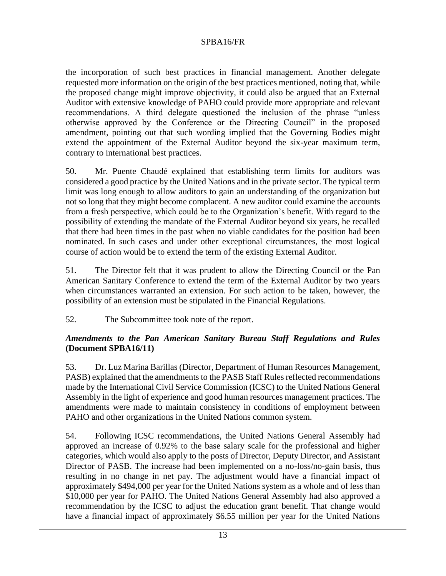the incorporation of such best practices in financial management. Another delegate requested more information on the origin of the best practices mentioned, noting that, while the proposed change might improve objectivity, it could also be argued that an External Auditor with extensive knowledge of PAHO could provide more appropriate and relevant recommendations. A third delegate questioned the inclusion of the phrase "unless otherwise approved by the Conference or the Directing Council" in the proposed amendment, pointing out that such wording implied that the Governing Bodies might extend the appointment of the External Auditor beyond the six-year maximum term, contrary to international best practices.

50. Mr. Puente Chaudé explained that establishing term limits for auditors was considered a good practice by the United Nations and in the private sector. The typical term limit was long enough to allow auditors to gain an understanding of the organization but not so long that they might become complacent. A new auditor could examine the accounts from a fresh perspective, which could be to the Organization's benefit. With regard to the possibility of extending the mandate of the External Auditor beyond six years, he recalled that there had been times in the past when no viable candidates for the position had been nominated. In such cases and under other exceptional circumstances, the most logical course of action would be to extend the term of the existing External Auditor.

51. The Director felt that it was prudent to allow the Directing Council or the Pan American Sanitary Conference to extend the term of the External Auditor by two years when circumstances warranted an extension. For such action to be taken, however, the possibility of an extension must be stipulated in the Financial Regulations.

52. The Subcommittee took note of the report.

# *Amendments to the Pan American Sanitary Bureau Staff Regulations and Rules*  **(Document SPBA16/11)**

53. Dr. Luz Marina Barillas (Director, Department of Human Resources Management, PASB) explained that the amendments to the PASB Staff Rules reflected recommendations made by the International Civil Service Commission (ICSC) to the United Nations General Assembly in the light of experience and good human resources management practices. The amendments were made to maintain consistency in conditions of employment between PAHO and other organizations in the United Nations common system.

54. Following ICSC recommendations, the United Nations General Assembly had approved an increase of 0.92% to the base salary scale for the professional and higher categories, which would also apply to the posts of Director, Deputy Director, and Assistant Director of PASB. The increase had been implemented on a no-loss/no-gain basis, thus resulting in no change in net pay. The adjustment would have a financial impact of approximately \$494,000 per year for the United Nations system as a whole and of less than \$10,000 per year for PAHO. The United Nations General Assembly had also approved a recommendation by the ICSC to adjust the education grant benefit. That change would have a financial impact of approximately \$6.55 million per year for the United Nations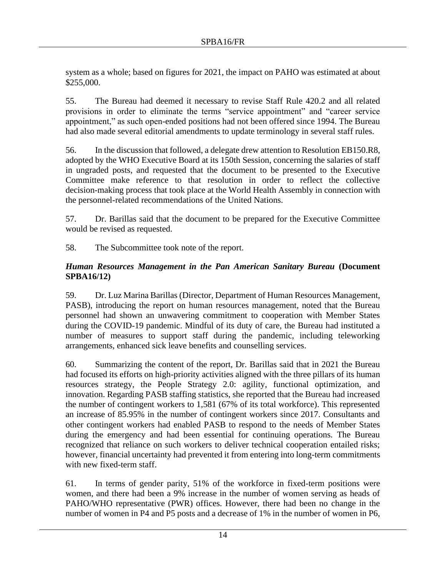system as a whole; based on figures for 2021, the impact on PAHO was estimated at about \$255,000.

55. The Bureau had deemed it necessary to revise Staff Rule 420.2 and all related provisions in order to eliminate the terms "service appointment" and "career service appointment," as such open-ended positions had not been offered since 1994. The Bureau had also made several editorial amendments to update terminology in several staff rules.

56. In the discussion that followed, a delegate drew attention to Resolution EB150.R8, adopted by the WHO Executive Board at its 150th Session, concerning the salaries of staff in ungraded posts, and requested that the document to be presented to the Executive Committee make reference to that resolution in order to reflect the collective decision-making process that took place at the World Health Assembly in connection with the personnel-related recommendations of the United Nations.

57. Dr. Barillas said that the document to be prepared for the Executive Committee would be revised as requested.

58. The Subcommittee took note of the report.

# *Human Resources Management in the Pan American Sanitary Bureau* **(Document SPBA16/12)**

59. Dr. Luz Marina Barillas (Director, Department of Human Resources Management, PASB), introducing the report on human resources management, noted that the Bureau personnel had shown an unwavering commitment to cooperation with Member States during the COVID-19 pandemic. Mindful of its duty of care, the Bureau had instituted a number of measures to support staff during the pandemic, including teleworking arrangements, enhanced sick leave benefits and counselling services.

60. Summarizing the content of the report, Dr. Barillas said that in 2021 the Bureau had focused its efforts on high-priority activities aligned with the three pillars of its human resources strategy, the People Strategy 2.0: agility, functional optimization, and innovation. Regarding PASB staffing statistics, she reported that the Bureau had increased the number of contingent workers to 1,581 (67% of its total workforce). This represented an increase of 85.95% in the number of contingent workers since 2017. Consultants and other contingent workers had enabled PASB to respond to the needs of Member States during the emergency and had been essential for continuing operations. The Bureau recognized that reliance on such workers to deliver technical cooperation entailed risks; however, financial uncertainty had prevented it from entering into long-term commitments with new fixed-term staff.

61. In terms of gender parity, 51% of the workforce in fixed-term positions were women, and there had been a 9% increase in the number of women serving as heads of PAHO/WHO representative (PWR) offices. However, there had been no change in the number of women in P4 and P5 posts and a decrease of 1% in the number of women in P6,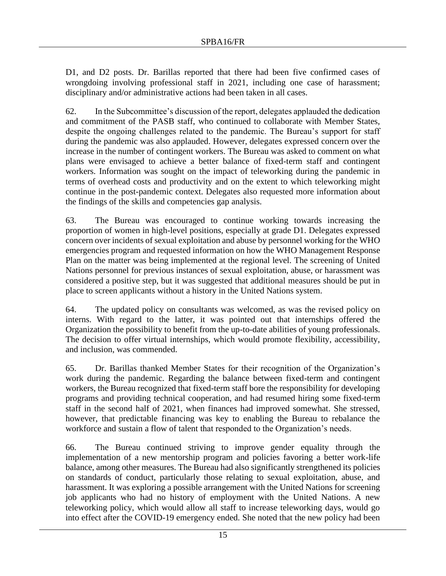D1, and D2 posts. Dr. Barillas reported that there had been five confirmed cases of wrongdoing involving professional staff in 2021, including one case of harassment; disciplinary and/or administrative actions had been taken in all cases.

62. In the Subcommittee's discussion of the report, delegates applauded the dedication and commitment of the PASB staff, who continued to collaborate with Member States, despite the ongoing challenges related to the pandemic. The Bureau's support for staff during the pandemic was also applauded. However, delegates expressed concern over the increase in the number of contingent workers. The Bureau was asked to comment on what plans were envisaged to achieve a better balance of fixed-term staff and contingent workers. Information was sought on the impact of teleworking during the pandemic in terms of overhead costs and productivity and on the extent to which teleworking might continue in the post-pandemic context. Delegates also requested more information about the findings of the skills and competencies gap analysis.

63. The Bureau was encouraged to continue working towards increasing the proportion of women in high-level positions, especially at grade D1. Delegates expressed concern over incidents of sexual exploitation and abuse by personnel working for the WHO emergencies program and requested information on how the WHO Management Response Plan on the matter was being implemented at the regional level. The screening of United Nations personnel for previous instances of sexual exploitation, abuse, or harassment was considered a positive step, but it was suggested that additional measures should be put in place to screen applicants without a history in the United Nations system.

64. The updated policy on consultants was welcomed, as was the revised policy on interns. With regard to the latter, it was pointed out that internships offered the Organization the possibility to benefit from the up-to-date abilities of young professionals. The decision to offer virtual internships, which would promote flexibility, accessibility, and inclusion, was commended.

65. Dr. Barillas thanked Member States for their recognition of the Organization's work during the pandemic. Regarding the balance between fixed-term and contingent workers, the Bureau recognized that fixed-term staff bore the responsibility for developing programs and providing technical cooperation, and had resumed hiring some fixed-term staff in the second half of 2021, when finances had improved somewhat. She stressed, however, that predictable financing was key to enabling the Bureau to rebalance the workforce and sustain a flow of talent that responded to the Organization's needs.

66. The Bureau continued striving to improve gender equality through the implementation of a new mentorship program and policies favoring a better work-life balance, among other measures. The Bureau had also significantly strengthened its policies on standards of conduct, particularly those relating to sexual exploitation, abuse, and harassment. It was exploring a possible arrangement with the United Nations for screening job applicants who had no history of employment with the United Nations. A new teleworking policy, which would allow all staff to increase teleworking days, would go into effect after the COVID-19 emergency ended. She noted that the new policy had been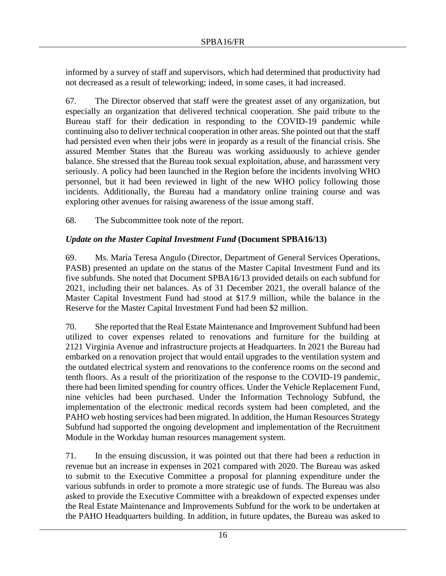informed by a survey of staff and supervisors, which had determined that productivity had not decreased as a result of teleworking; indeed, in some cases, it had increased.

67. The Director observed that staff were the greatest asset of any organization, but especially an organization that delivered technical cooperation. She paid tribute to the Bureau staff for their dedication in responding to the COVID-19 pandemic while continuing also to deliver technical cooperation in other areas. She pointed out that the staff had persisted even when their jobs were in jeopardy as a result of the financial crisis. She assured Member States that the Bureau was working assiduously to achieve gender balance. She stressed that the Bureau took sexual exploitation, abuse, and harassment very seriously. A policy had been launched in the Region before the incidents involving WHO personnel, but it had been reviewed in light of the new WHO policy following those incidents. Additionally, the Bureau had a mandatory online training course and was exploring other avenues for raising awareness of the issue among staff.

68. The Subcommittee took note of the report.

# *Update on the Master Capital Investment Fund* **(Document SPBA16/13)**

69. Ms. María Teresa Angulo (Director, Department of General Services Operations, PASB) presented an update on the status of the Master Capital Investment Fund and its five subfunds. She noted that Document SPBA16/13 provided details on each subfund for 2021, including their net balances. As of 31 December 2021, the overall balance of the Master Capital Investment Fund had stood at \$17.9 million, while the balance in the Reserve for the Master Capital Investment Fund had been \$2 million.

70. She reported that the Real Estate Maintenance and Improvement Subfund had been utilized to cover expenses related to renovations and furniture for the building at 2121 Virginia Avenue and infrastructure projects at Headquarters. In 2021 the Bureau had embarked on a renovation project that would entail upgrades to the ventilation system and the outdated electrical system and renovations to the conference rooms on the second and tenth floors. As a result of the prioritization of the response to the COVID-19 pandemic, there had been limited spending for country offices. Under the Vehicle Replacement Fund, nine vehicles had been purchased. Under the Information Technology Subfund, the implementation of the electronic medical records system had been completed, and the PAHO web hosting services had been migrated. In addition, the Human Resources Strategy Subfund had supported the ongoing development and implementation of the Recruitment Module in the Workday human resources management system.

71. In the ensuing discussion, it was pointed out that there had been a reduction in revenue but an increase in expenses in 2021 compared with 2020. The Bureau was asked to submit to the Executive Committee a proposal for planning expenditure under the various subfunds in order to promote a more strategic use of funds. The Bureau was also asked to provide the Executive Committee with a breakdown of expected expenses under the Real Estate Maintenance and Improvements Subfund for the work to be undertaken at the PAHO Headquarters building. In addition, in future updates, the Bureau was asked to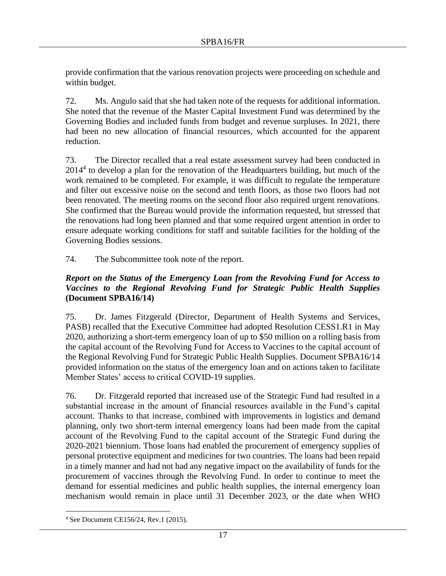provide confirmation that the various renovation projects were proceeding on schedule and within budget.

72. Ms. Angulo said that she had taken note of the requests for additional information. She noted that the revenue of the Master Capital Investment Fund was determined by the Governing Bodies and included funds from budget and revenue surpluses. In 2021, there had been no new allocation of financial resources, which accounted for the apparent reduction.

73. The Director recalled that a real estate assessment survey had been conducted in 2014<sup>4</sup> to develop a plan for the renovation of the Headquarters building, but much of the work remained to be completed. For example, it was difficult to regulate the temperature and filter out excessive noise on the second and tenth floors, as those two floors had not been renovated. The meeting rooms on the second floor also required urgent renovations. She confirmed that the Bureau would provide the information requested, but stressed that the renovations had long been planned and that some required urgent attention in order to ensure adequate working conditions for staff and suitable facilities for the holding of the Governing Bodies sessions.

74. The Subcommittee took note of the report.

# *Report on the Status of the Emergency Loan from the Revolving Fund for Access to Vaccines to the Regional Revolving Fund for Strategic Public Health Supplies*  **(Document SPBA16/14)**

75. Dr. James Fitzgerald (Director, Department of Health Systems and Services, PASB) recalled that the Executive Committee had adopted Resolution CESS1.R1 in May 2020, authorizing a short-term emergency loan of up to \$50 million on a rolling basis from the capital account of the Revolving Fund for Access to Vaccines to the capital account of the Regional Revolving Fund for Strategic Public Health Supplies. Document SPBA16/14 provided information on the status of the emergency loan and on actions taken to facilitate Member States' access to critical COVID-19 supplies.

76. Dr. Fitzgerald reported that increased use of the Strategic Fund had resulted in a substantial increase in the amount of financial resources available in the Fund's capital account. Thanks to that increase, combined with improvements in logistics and demand planning, only two short-term internal emergency loans had been made from the capital account of the Revolving Fund to the capital account of the Strategic Fund during the 2020-2021 biennium. Those loans had enabled the procurement of emergency supplies of personal protective equipment and medicines for two countries. The loans had been repaid in a timely manner and had not had any negative impact on the availability of funds for the procurement of vaccines through the Revolving Fund. In order to continue to meet the demand for essential medicines and public health supplies, the internal emergency loan mechanism would remain in place until 31 December 2023, or the date when WHO

<sup>4</sup> See Document CE156/24, Rev.1 (2015).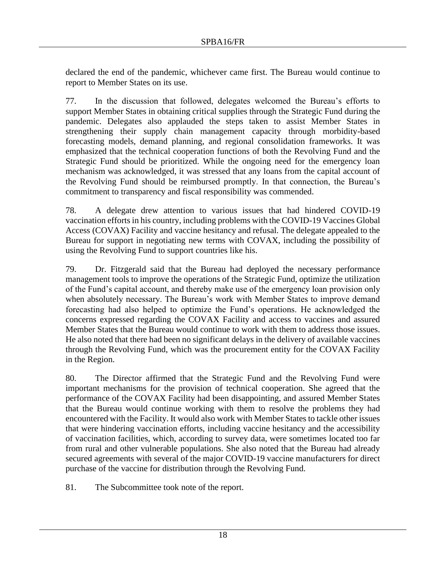declared the end of the pandemic, whichever came first. The Bureau would continue to report to Member States on its use.

77. In the discussion that followed, delegates welcomed the Bureau's efforts to support Member States in obtaining critical supplies through the Strategic Fund during the pandemic. Delegates also applauded the steps taken to assist Member States in strengthening their supply chain management capacity through morbidity-based forecasting models, demand planning, and regional consolidation frameworks. It was emphasized that the technical cooperation functions of both the Revolving Fund and the Strategic Fund should be prioritized. While the ongoing need for the emergency loan mechanism was acknowledged, it was stressed that any loans from the capital account of the Revolving Fund should be reimbursed promptly. In that connection, the Bureau's commitment to transparency and fiscal responsibility was commended.

78. A delegate drew attention to various issues that had hindered COVID-19 vaccination efforts in his country, including problems with the COVID-19 Vaccines Global Access (COVAX) Facility and vaccine hesitancy and refusal. The delegate appealed to the Bureau for support in negotiating new terms with COVAX, including the possibility of using the Revolving Fund to support countries like his.

79. Dr. Fitzgerald said that the Bureau had deployed the necessary performance management tools to improve the operations of the Strategic Fund, optimize the utilization of the Fund's capital account, and thereby make use of the emergency loan provision only when absolutely necessary. The Bureau's work with Member States to improve demand forecasting had also helped to optimize the Fund's operations. He acknowledged the concerns expressed regarding the COVAX Facility and access to vaccines and assured Member States that the Bureau would continue to work with them to address those issues. He also noted that there had been no significant delays in the delivery of available vaccines through the Revolving Fund, which was the procurement entity for the COVAX Facility in the Region.

80. The Director affirmed that the Strategic Fund and the Revolving Fund were important mechanisms for the provision of technical cooperation. She agreed that the performance of the COVAX Facility had been disappointing, and assured Member States that the Bureau would continue working with them to resolve the problems they had encountered with the Facility. It would also work with Member States to tackle other issues that were hindering vaccination efforts, including vaccine hesitancy and the accessibility of vaccination facilities, which, according to survey data, were sometimes located too far from rural and other vulnerable populations. She also noted that the Bureau had already secured agreements with several of the major COVID-19 vaccine manufacturers for direct purchase of the vaccine for distribution through the Revolving Fund.

81. The Subcommittee took note of the report.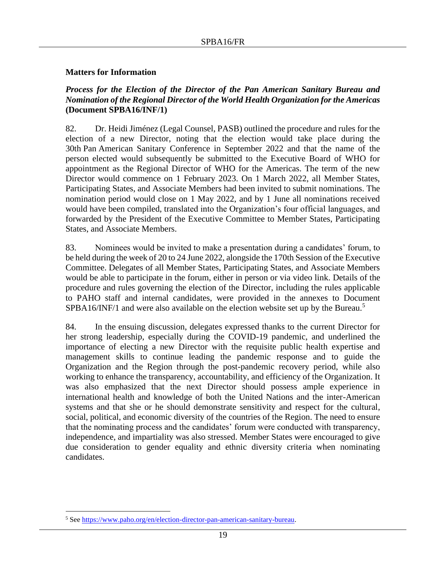### **Matters for Information**

### *Process for the Election of the Director of the Pan American Sanitary Bureau and Nomination of the Regional Director of the World Health Organization for the Americas*  **(Document SPBA16/INF/1)**

82. Dr. Heidi Jiménez (Legal Counsel, PASB) outlined the procedure and rules for the election of a new Director, noting that the election would take place during the 30th Pan American Sanitary Conference in September 2022 and that the name of the person elected would subsequently be submitted to the Executive Board of WHO for appointment as the Regional Director of WHO for the Americas. The term of the new Director would commence on 1 February 2023. On 1 March 2022, all Member States, Participating States, and Associate Members had been invited to submit nominations. The nomination period would close on 1 May 2022, and by 1 June all nominations received would have been compiled, translated into the Organization's four official languages, and forwarded by the President of the Executive Committee to Member States, Participating States, and Associate Members.

83. Nominees would be invited to make a presentation during a candidates' forum, to be held during the week of 20 to 24 June 2022, alongside the 170th Session of the Executive Committee. Delegates of all Member States, Participating States, and Associate Members would be able to participate in the forum, either in person or via video link. Details of the procedure and rules governing the election of the Director, including the rules applicable to PAHO staff and internal candidates, were provided in the annexes to Document SPBA16/INF/1 and were also available on the election website set up by the Bureau.<sup>5</sup>

84. In the ensuing discussion, delegates expressed thanks to the current Director for her strong leadership, especially during the COVID-19 pandemic, and underlined the importance of electing a new Director with the requisite public health expertise and management skills to continue leading the pandemic response and to guide the Organization and the Region through the post-pandemic recovery period, while also working to enhance the transparency, accountability, and efficiency of the Organization. It was also emphasized that the next Director should possess ample experience in international health and knowledge of both the United Nations and the inter-American systems and that she or he should demonstrate sensitivity and respect for the cultural, social, political, and economic diversity of the countries of the Region. The need to ensure that the nominating process and the candidates' forum were conducted with transparency, independence, and impartiality was also stressed. Member States were encouraged to give due consideration to gender equality and ethnic diversity criteria when nominating candidates.

<sup>&</sup>lt;sup>5</sup> Se[e https://www.paho.org/en/election-director-pan-american-sanitary-bureau.](https://www.paho.org/en/election-director-pan-american-sanitary-bureau)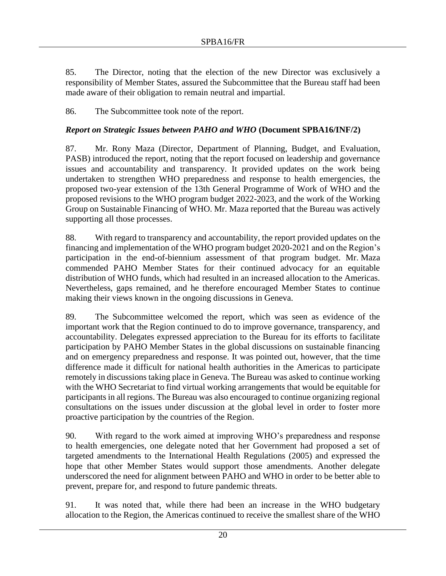85. The Director, noting that the election of the new Director was exclusively a responsibility of Member States, assured the Subcommittee that the Bureau staff had been made aware of their obligation to remain neutral and impartial.

86. The Subcommittee took note of the report.

# *Report on Strategic Issues between PAHO and WHO* **(Document SPBA16/INF/2)**

87. Mr. Rony Maza (Director, Department of Planning, Budget, and Evaluation, PASB) introduced the report, noting that the report focused on leadership and governance issues and accountability and transparency. It provided updates on the work being undertaken to strengthen WHO preparedness and response to health emergencies, the proposed two-year extension of the 13th General Programme of Work of WHO and the proposed revisions to the WHO program budget 2022-2023, and the work of the Working Group on Sustainable Financing of WHO. Mr. Maza reported that the Bureau was actively supporting all those processes.

88. With regard to transparency and accountability, the report provided updates on the financing and implementation of the WHO program budget 2020-2021 and on the Region's participation in the end-of-biennium assessment of that program budget. Mr. Maza commended PAHO Member States for their continued advocacy for an equitable distribution of WHO funds, which had resulted in an increased allocation to the Americas. Nevertheless, gaps remained, and he therefore encouraged Member States to continue making their views known in the ongoing discussions in Geneva.

89. The Subcommittee welcomed the report, which was seen as evidence of the important work that the Region continued to do to improve governance, transparency, and accountability. Delegates expressed appreciation to the Bureau for its efforts to facilitate participation by PAHO Member States in the global discussions on sustainable financing and on emergency preparedness and response. It was pointed out, however, that the time difference made it difficult for national health authorities in the Americas to participate remotely in discussions taking place in Geneva. The Bureau was asked to continue working with the WHO Secretariat to find virtual working arrangements that would be equitable for participants in all regions. The Bureau was also encouraged to continue organizing regional consultations on the issues under discussion at the global level in order to foster more proactive participation by the countries of the Region.

90. With regard to the work aimed at improving WHO's preparedness and response to health emergencies, one delegate noted that her Government had proposed a set of targeted amendments to the International Health Regulations (2005) and expressed the hope that other Member States would support those amendments. Another delegate underscored the need for alignment between PAHO and WHO in order to be better able to prevent, prepare for, and respond to future pandemic threats.

91. It was noted that, while there had been an increase in the WHO budgetary allocation to the Region, the Americas continued to receive the smallest share of the WHO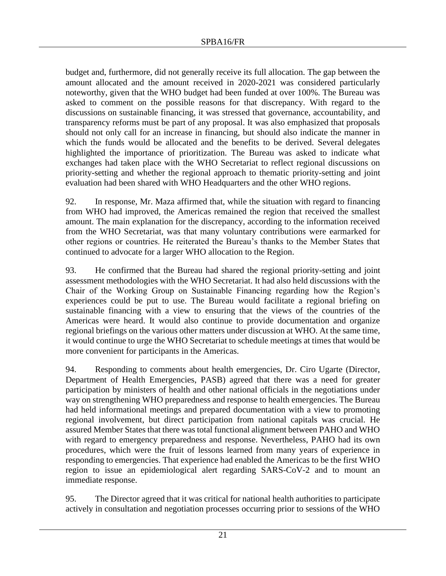budget and, furthermore, did not generally receive its full allocation. The gap between the amount allocated and the amount received in 2020-2021 was considered particularly noteworthy, given that the WHO budget had been funded at over 100%. The Bureau was asked to comment on the possible reasons for that discrepancy. With regard to the discussions on sustainable financing, it was stressed that governance, accountability, and transparency reforms must be part of any proposal. It was also emphasized that proposals should not only call for an increase in financing, but should also indicate the manner in which the funds would be allocated and the benefits to be derived. Several delegates highlighted the importance of prioritization. The Bureau was asked to indicate what exchanges had taken place with the WHO Secretariat to reflect regional discussions on priority-setting and whether the regional approach to thematic priority-setting and joint evaluation had been shared with WHO Headquarters and the other WHO regions.

92. In response, Mr. Maza affirmed that, while the situation with regard to financing from WHO had improved, the Americas remained the region that received the smallest amount. The main explanation for the discrepancy, according to the information received from the WHO Secretariat, was that many voluntary contributions were earmarked for other regions or countries. He reiterated the Bureau's thanks to the Member States that continued to advocate for a larger WHO allocation to the Region.

93. He confirmed that the Bureau had shared the regional priority-setting and joint assessment methodologies with the WHO Secretariat. It had also held discussions with the Chair of the Working Group on Sustainable Financing regarding how the Region's experiences could be put to use. The Bureau would facilitate a regional briefing on sustainable financing with a view to ensuring that the views of the countries of the Americas were heard. It would also continue to provide documentation and organize regional briefings on the various other matters under discussion at WHO. At the same time, it would continue to urge the WHO Secretariat to schedule meetings at times that would be more convenient for participants in the Americas.

94. Responding to comments about health emergencies, Dr. Ciro Ugarte (Director, Department of Health Emergencies, PASB) agreed that there was a need for greater participation by ministers of health and other national officials in the negotiations under way on strengthening WHO preparedness and response to health emergencies. The Bureau had held informational meetings and prepared documentation with a view to promoting regional involvement, but direct participation from national capitals was crucial. He assured Member States that there was total functional alignment between PAHO and WHO with regard to emergency preparedness and response. Nevertheless, PAHO had its own procedures, which were the fruit of lessons learned from many years of experience in responding to emergencies. That experience had enabled the Americas to be the first WHO region to issue an epidemiological alert regarding SARS-CoV-2 and to mount an immediate response.

95. The Director agreed that it was critical for national health authorities to participate actively in consultation and negotiation processes occurring prior to sessions of the WHO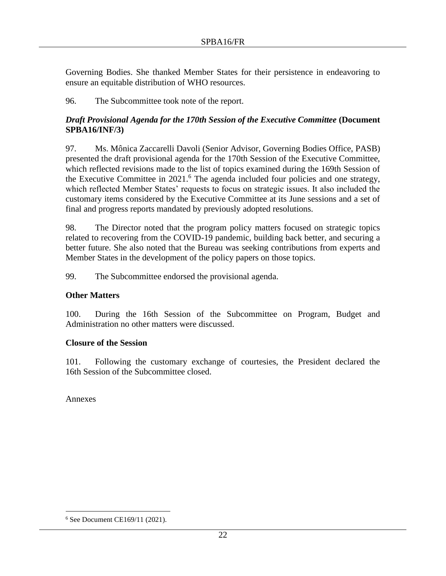Governing Bodies. She thanked Member States for their persistence in endeavoring to ensure an equitable distribution of WHO resources.

96. The Subcommittee took note of the report.

# *Draft Provisional Agenda for the 170th Session of the Executive Committee (Document***) SPBA16/INF/3)**

97. Ms. Mônica Zaccarelli Davoli (Senior Advisor, Governing Bodies Office, PASB) presented the draft provisional agenda for the 170th Session of the Executive Committee, which reflected revisions made to the list of topics examined during the 169th Session of the Executive Committee in  $2021$ .<sup>6</sup> The agenda included four policies and one strategy, which reflected Member States' requests to focus on strategic issues. It also included the customary items considered by the Executive Committee at its June sessions and a set of final and progress reports mandated by previously adopted resolutions.

98. The Director noted that the program policy matters focused on strategic topics related to recovering from the COVID-19 pandemic, building back better, and securing a better future. She also noted that the Bureau was seeking contributions from experts and Member States in the development of the policy papers on those topics.

99. The Subcommittee endorsed the provisional agenda.

# **Other Matters**

100. During the 16th Session of the Subcommittee on Program, Budget and Administration no other matters were discussed.

### **Closure of the Session**

101. Following the customary exchange of courtesies, the President declared the 16th Session of the Subcommittee closed.

Annexes

<sup>6</sup> See Document CE169/11 (2021).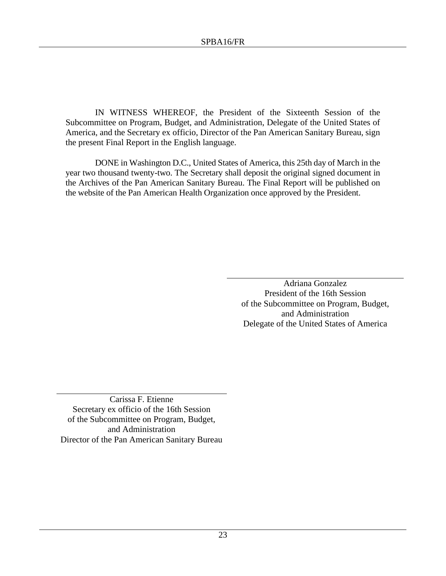IN WITNESS WHEREOF, the President of the Sixteenth Session of the Subcommittee on Program, Budget, and Administration, Delegate of the United States of America, and the Secretary ex officio, Director of the Pan American Sanitary Bureau, sign the present Final Report in the English language.

DONE in Washington D.C., United States of America, this 25th day of March in the year two thousand twenty-two. The Secretary shall deposit the original signed document in the Archives of the Pan American Sanitary Bureau. The Final Report will be published on the website of the Pan American Health Organization once approved by the President.

> Adriana Gonzalez President of the 16th Session of the Subcommittee on Program, Budget, and Administration Delegate of the United States of America

Carissa F. Etienne Secretary ex officio of the 16th Session of the Subcommittee on Program, Budget, and Administration Director of the Pan American Sanitary Bureau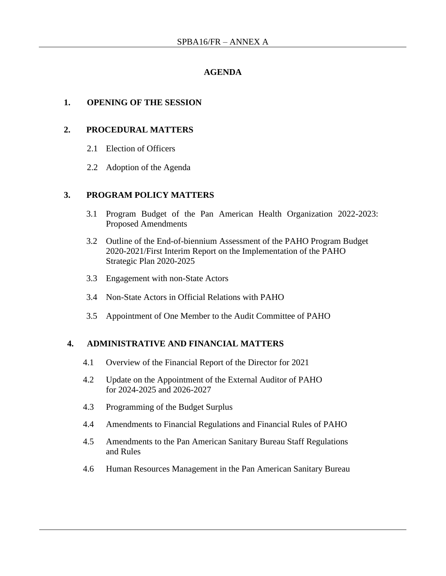# **AGENDA**

### **1. OPENING OF THE SESSION**

### **2. PROCEDURAL MATTERS**

- 2.1 Election of Officers
- 2.2 Adoption of the Agenda

### **3. PROGRAM POLICY MATTERS**

- 3.1 Program Budget of the Pan American Health Organization 2022-2023: Proposed Amendments
- 3.2 Outline of the End-of-biennium Assessment of the PAHO Program Budget 2020-2021/First Interim Report on the Implementation of the PAHO Strategic Plan 2020-2025
- 3.3 Engagement with non-State Actors
- 3.4 Non-State Actors in Official Relations with PAHO
- 3.5 Appointment of One Member to the Audit Committee of PAHO

### **4. ADMINISTRATIVE AND FINANCIAL MATTERS**

- 4.1 Overview of the Financial Report of the Director for 2021
- 4.2 Update on the Appointment of the External Auditor of PAHO for 2024-2025 and 2026-2027
- 4.3 Programming of the Budget Surplus
- 4.4 Amendments to Financial Regulations and Financial Rules of PAHO
- 4.5 Amendments to the Pan American Sanitary Bureau Staff Regulations and Rules
- 4.6 Human Resources Management in the Pan American Sanitary Bureau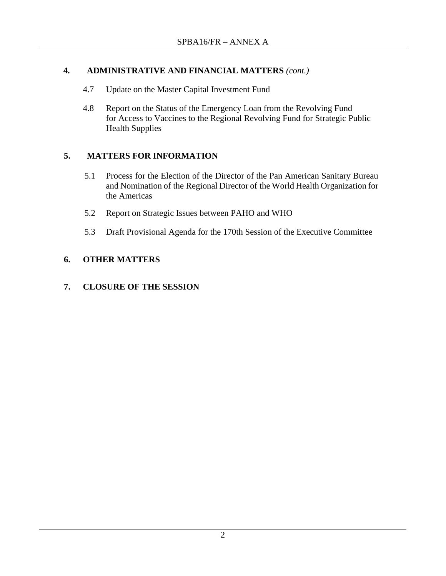# **4. ADMINISTRATIVE AND FINANCIAL MATTERS** *(cont.)*

- 4.7 Update on the Master Capital Investment Fund
- 4.8 Report on the Status of the Emergency Loan from the Revolving Fund for Access to Vaccines to the Regional Revolving Fund for Strategic Public Health Supplies

# **5. MATTERS FOR INFORMATION**

- 5.1 Process for the Election of the Director of the Pan American Sanitary Bureau and Nomination of the Regional Director of the World Health Organization for the Americas
- 5.2 Report on Strategic Issues between PAHO and WHO
- 5.3 Draft Provisional Agenda for the 170th Session of the Executive Committee

# **6. OTHER MATTERS**

### **7. CLOSURE OF THE SESSION**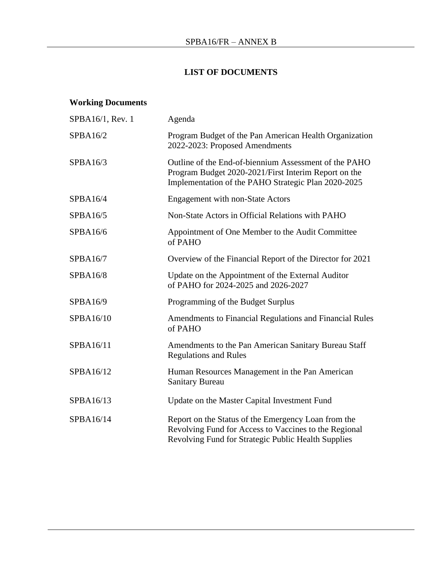# **LIST OF DOCUMENTS**

# **Working Documents**

| SPBA16/1, Rev. 1 | Agenda                                                                                                                                                               |  |
|------------------|----------------------------------------------------------------------------------------------------------------------------------------------------------------------|--|
| SPBA16/2         | Program Budget of the Pan American Health Organization<br>2022-2023: Proposed Amendments                                                                             |  |
| SPBA16/3         | Outline of the End-of-biennium Assessment of the PAHO<br>Program Budget 2020-2021/First Interim Report on the<br>Implementation of the PAHO Strategic Plan 2020-2025 |  |
| SPBA16/4         | <b>Engagement with non-State Actors</b>                                                                                                                              |  |
| SPBA16/5         | Non-State Actors in Official Relations with PAHO                                                                                                                     |  |
| SPBA16/6         | Appointment of One Member to the Audit Committee<br>of PAHO                                                                                                          |  |
| SPBA16/7         | Overview of the Financial Report of the Director for 2021                                                                                                            |  |
| SPBA16/8         | Update on the Appointment of the External Auditor<br>of PAHO for 2024-2025 and 2026-2027                                                                             |  |
| SPBA16/9         | Programming of the Budget Surplus                                                                                                                                    |  |
| SPBA16/10        | Amendments to Financial Regulations and Financial Rules<br>of PAHO                                                                                                   |  |
| SPBA16/11        | Amendments to the Pan American Sanitary Bureau Staff<br><b>Regulations and Rules</b>                                                                                 |  |
| SPBA16/12        | Human Resources Management in the Pan American<br><b>Sanitary Bureau</b>                                                                                             |  |
| SPBA16/13        | Update on the Master Capital Investment Fund                                                                                                                         |  |
| SPBA16/14        | Report on the Status of the Emergency Loan from the<br>Revolving Fund for Access to Vaccines to the Regional<br>Revolving Fund for Strategic Public Health Supplies  |  |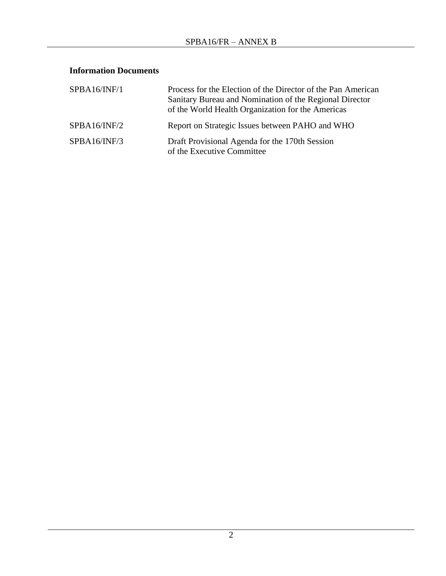# **Information Documents**

| SPBA16/INF/1 | Process for the Election of the Director of the Pan American<br>Sanitary Bureau and Nomination of the Regional Director<br>of the World Health Organization for the Americas |
|--------------|------------------------------------------------------------------------------------------------------------------------------------------------------------------------------|
| SPBA16/INF/2 | Report on Strategic Issues between PAHO and WHO                                                                                                                              |
| SPBA16/INF/3 | Draft Provisional Agenda for the 170th Session<br>of the Executive Committee                                                                                                 |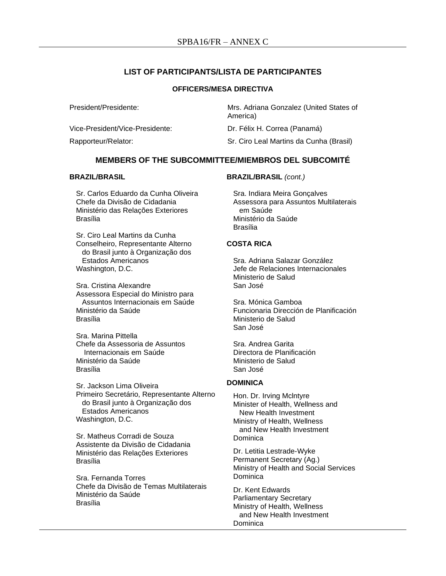### **LIST OF PARTICIPANTS/LISTA DE PARTICIPANTES**

#### **OFFICERS/MESA DIRECTIVA**

| President/Presidente:           | Mrs. Adriana Gonzalez (United States of<br>America) |
|---------------------------------|-----------------------------------------------------|
| Vice-President/Vice-Presidente: | Dr. Félix H. Correa (Panamá)                        |
| Rapporteur/Relator:             | Sr. Ciro Leal Martins da Cunha (Brasil)             |

### **MEMBERS OF THE SUBCOMMITTEE/MIEMBROS DEL SUBCOMITÉ**

#### **BRAZIL/BRASIL**

Sr. Carlos Eduardo da Cunha Oliveira Chefe da Divisão de Cidadania Ministério das Relações Exteriores Brasília

Sr. Ciro Leal Martins da Cunha Conselheiro, Representante Alterno do Brasil junto à Organização dos Estados Americanos Washington, D.C.

Sra. Cristina Alexandre Assessora Especial do Ministro para Assuntos Internacionais em Saúde Ministério da Saúde Brasília

Sra. Marina Pittella Chefe da Assessoria de Assuntos Internacionais em Saúde Ministério da Saúde Brasília

Sr. Jackson Lima Oliveira Primeiro Secretário, Representante Alterno do Brasil junto à Organização dos Estados Americanos Washington, D.C.

Sr. Matheus Corradi de Souza Assistente da Divisão de Cidadania Ministério das Relações Exteriores Brasília

Sra. Fernanda Torres Chefe da Divisão de Temas Multilaterais Ministério da Saúde Brasília

**BRAZIL/BRASIL** *(cont.)*

Sra. Indiara Meira Gonçalves Assessora para Assuntos Multilaterais em Saúde Ministério da Saúde Brasília

#### **COSTA RICA**

Sra. Adriana Salazar González Jefe de Relaciones Internacionales Ministerio de Salud San José

Sra. Mónica Gamboa Funcionaria Dirección de Planificación Ministerio de Salud San José

Sra. Andrea Garita Directora de Planificación Ministerio de Salud San José

#### **DOMINICA**

Hon. Dr. Irving Mclntyre Minister of Health, Wellness and New Health Investment Ministry of Health, Wellness and New Health Investment Dominica

Dr. Letitia Lestrade-Wyke Permanent Secretary (Ag.) Ministry of Health and Social Services **Dominica** 

Dr. Kent Edwards Parliamentary Secretary Ministry of Health, Wellness and New Health Investment **Dominica**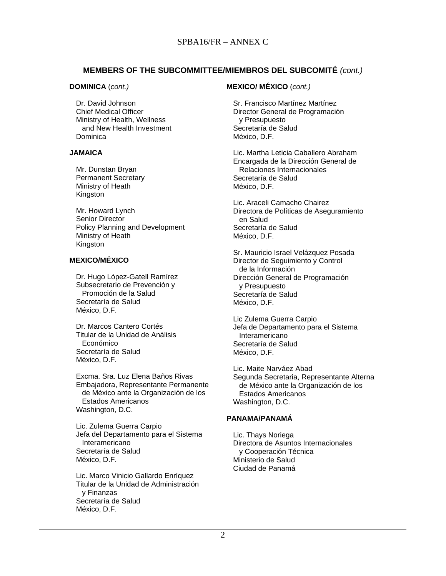### **MEMBERS OF THE SUBCOMMITTEE/MIEMBROS DEL SUBCOMITÉ** *(cont.)*

#### **DOMINICA** (*cont.)*

Dr. David Johnson Chief Medical Officer Ministry of Health, Wellness and New Health Investment **Dominica** 

#### **JAMAICA**

Mr. Dunstan Bryan Permanent Secretary Ministry of Heath Kingston

Mr. Howard Lynch Senior Director Policy Planning and Development Ministry of Heath Kingston

### **MEXICO/MÉXICO**

Dr. Hugo López-Gatell Ramírez Subsecretario de Prevención y Promoción de la Salud Secretaría de Salud México, D.F.

Dr. Marcos Cantero Cortés Titular de la Unidad de Análisis Económico Secretaría de Salud México, D.F.

Excma. Sra. Luz Elena Baños Rivas Embajadora, Representante Permanente de México ante la Organización de los Estados Americanos Washington, D.C.

Lic. Zulema Guerra Carpio Jefa del Departamento para el Sistema Interamericano Secretaría de Salud México, D.F.

Lic. Marco Vinicio Gallardo Enríquez Titular de la Unidad de Administración y Finanzas Secretaría de Salud México, D.F.

### **MEXICO/ MÉXICO** (*cont.)*

Sr. Francisco Martínez Martínez Director General de Programación y Presupuesto Secretaría de Salud México, D.F.

Lic. Martha Leticia Caballero Abraham Encargada de la Dirección General de Relaciones Internacionales Secretaría de Salud México, D.F.

Lic. Araceli Camacho Chairez Directora de Políticas de Aseguramiento en Salud Secretaría de Salud México, D.F.

Sr. Mauricio Israel Velázquez Posada Director de Seguimiento y Control de la Información Dirección General de Programación y Presupuesto Secretaría de Salud México, D.F.

Lic Zulema Guerra Carpio Jefa de Departamento para el Sistema Interamericano Secretaría de Salud México, D.F.

Lic. Maite Narváez Abad Segunda Secretaria, Representante Alterna de México ante la Organización de los Estados Americanos Washington, D.C.

### **PANAMA/PANAMÁ**

Lic. Thays Noriega Directora de Asuntos Internacionales y Cooperación Técnica Ministerio de Salud Ciudad de Panamá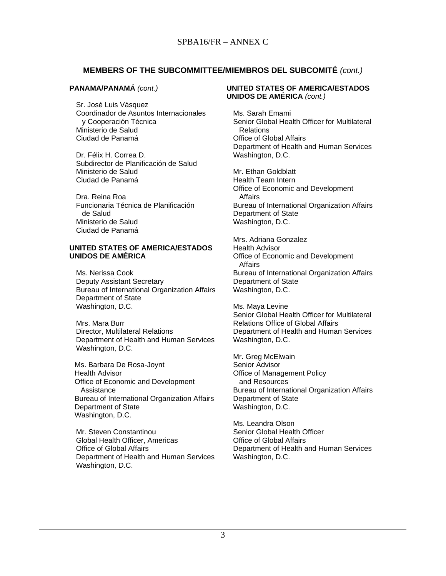### **MEMBERS OF THE SUBCOMMITTEE/MIEMBROS DEL SUBCOMITÉ** *(cont.)*

#### **PANAMA/PANAMÁ** *(cont.)*

Sr. José Luis Vásquez Coordinador de Asuntos Internacionales y Cooperación Técnica Ministerio de Salud Ciudad de Panamá

Dr. Félix H. Correa D. Subdirector de Planificación de Salud Ministerio de Salud Ciudad de Panamá

Dra. Reina Roa Funcionaria Técnica de Planificación de Salud Ministerio de Salud Ciudad de Panamá

#### **UNITED STATES OF AMERICA/ESTADOS UNIDOS DE AMÉRICA**

Ms. Nerissa Cook Deputy Assistant Secretary Bureau of International Organization Affairs Department of State Washington, D.C.

Mrs. Mara Burr Director, Multilateral Relations Department of Health and Human Services Washington, D.C.

Ms. Barbara De Rosa-Joynt Health Advisor Office of Economic and Development Assistance Bureau of International Organization Affairs Department of State Washington, D.C.

Mr. Steven Constantinou Global Health Officer, Americas Office of Global Affairs Department of Health and Human Services Washington, D.C.

#### **UNITED STATES OF AMERICA/ESTADOS UNIDOS DE AMÉRICA** *(cont.)*

Ms. Sarah Emami Senior Global Health Officer for Multilateral Relations Office of Global Affairs Department of Health and Human Services Washington, D.C.

Mr. Ethan Goldblatt Health Team Intern Office of Economic and Development Affairs Bureau of International Organization Affairs Department of State Washington, D.C.

Mrs. Adriana Gonzalez Health Advisor Office of Economic and Development Affairs Bureau of International Organization Affairs Department of State Washington, D.C.

Ms. Maya Levine Senior Global Health Officer for Multilateral Relations Office of Global Affairs Department of Health and Human Services Washington, D.C.

Mr. Greg McElwain Senior Advisor Office of Management Policy and Resources Bureau of International Organization Affairs Department of State Washington, D.C.

Ms. Leandra Olson Senior Global Health Officer Office of Global Affairs Department of Health and Human Services Washington, D.C.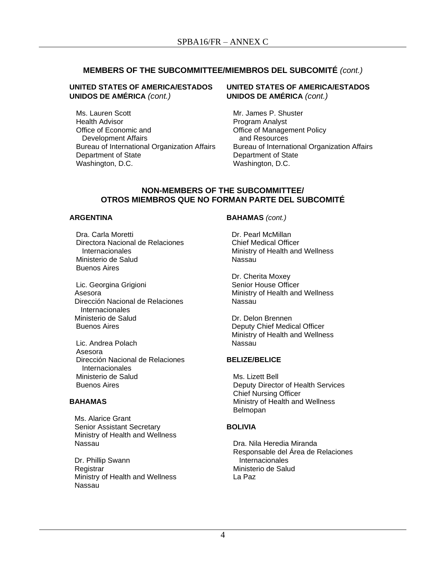### **MEMBERS OF THE SUBCOMMITTEE/MIEMBROS DEL SUBCOMITÉ** *(cont.)*

#### **UNITED STATES OF AMERICA/ESTADOS UNIDOS DE AMÉRICA** *(cont.)*

Ms. Lauren Scott Health Advisor Office of Economic and Development Affairs Bureau of International Organization Affairs Department of State Washington, D.C.

#### **UNITED STATES OF AMERICA/ESTADOS UNIDOS DE AMÉRICA** *(cont.)*

Mr. James P. Shuster Program Analyst Office of Management Policy and Resources Bureau of International Organization Affairs Department of State Washington, D.C.

#### **NON-MEMBERS OF THE SUBCOMMITTEE/ OTROS MIEMBROS QUE NO FORMAN PARTE DEL SUBCOMITÉ**

#### **ARGENTINA**

Dra. Carla Moretti Directora Nacional de Relaciones **Internacionales** Ministerio de Salud Buenos Aires

Lic. Georgina Grigioni Asesora Dirección Nacional de Relaciones Internacionales Ministerio de Salud Buenos Aires

Lic. Andrea Polach Asesora Dirección Nacional de Relaciones **Internacionales** Ministerio de Salud Buenos Aires

#### **BAHAMAS**

Ms. Alarice Grant Senior Assistant Secretary Ministry of Health and Wellness Nassau

Dr. Phillip Swann **Registrar** Ministry of Health and Wellness Nassau

#### **BAHAMAS** *(cont.)*

Dr. Pearl McMillan Chief Medical Officer Ministry of Health and Wellness Nassau

Dr. Cherita Moxey Senior House Officer Ministry of Health and Wellness Nassau

Dr. Delon Brennen Deputy Chief Medical Officer Ministry of Health and Wellness Nassau

#### **BELIZE/BELICE**

Ms. Lizett Bell Deputy Director of Health Services Chief Nursing Officer Ministry of Health and Wellness Belmopan

#### **BOLIVIA**

Dra. Nila Heredia Miranda Responsable del Área de Relaciones Internacionales Ministerio de Salud La Paz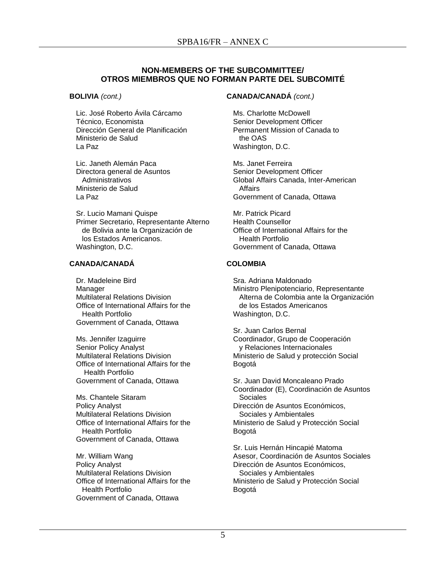### **NON-MEMBERS OF THE SUBCOMMITTEE/ OTROS MIEMBROS QUE NO FORMAN PARTE DEL SUBCOMITÉ**

#### **BOLIVIA** *(cont.)*

Lic. José Roberto Ávila Cárcamo Técnico, Economista Dirección General de Planificación Ministerio de Salud La Paz

Lic. Janeth Alemán Paca Directora general de Asuntos Administrativos Ministerio de Salud La Paz

Sr. Lucio Mamani Quispe Primer Secretario, Representante Alterno de Bolivia ante la Organización de los Estados Americanos. Washington, D.C.

#### **CANADA/CANADÁ**

Dr. Madeleine Bird Manager Multilateral Relations Division Office of International Affairs for the Health Portfolio Government of Canada, Ottawa

Ms. Jennifer Izaguirre Senior Policy Analyst Multilateral Relations Division Office of International Affairs for the Health Portfolio Government of Canada, Ottawa

Ms. Chantele Sitaram Policy Analyst Multilateral Relations Division Office of International Affairs for the Health Portfolio Government of Canada, Ottawa

Mr. William Wang Policy Analyst Multilateral Relations Division Office of International Affairs for the Health Portfolio Government of Canada, Ottawa

#### **CANADA/CANADÁ** *(cont.)*

Ms. Charlotte McDowell Senior Development Officer Permanent Mission of Canada to the OAS Washington, D.C.

Ms. Janet Ferreira Senior Development Officer Global Affairs Canada, Inter-American **Affairs** Government of Canada, Ottawa

Mr. Patrick Picard Health Counsellor Office of International Affairs for the Health Portfolio Government of Canada, Ottawa

#### **COLOMBIA**

Sra. Adriana Maldonado Ministro Plenipotenciario, Representante Alterna de Colombia ante la Organización de los Estados Americanos Washington, D.C.

Sr. Juan Carlos Bernal Coordinador, Grupo de Cooperación y Relaciones Internacionales Ministerio de Salud y protección Social Bogotá

Sr. Juan David Moncaleano Prado Coordinador (E), Coordinación de Asuntos Sociales Dirección de Asuntos Económicos, Sociales y Ambientales Ministerio de Salud y Protección Social Bogotá

Sr. Luis Hernán Hincapié Matoma Asesor, Coordinación de Asuntos Sociales Dirección de Asuntos Económicos, Sociales y Ambientales Ministerio de Salud y Protección Social Bogotá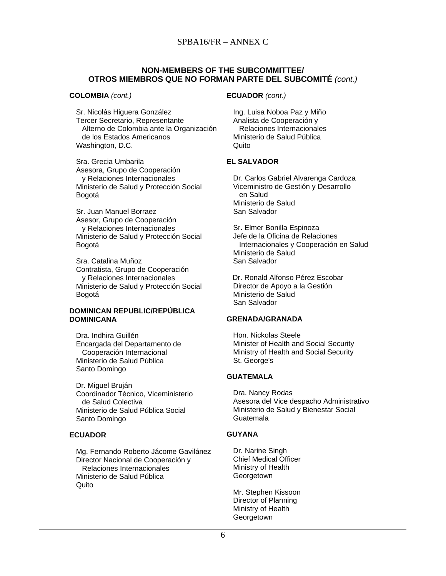#### **NON-MEMBERS OF THE SUBCOMMITTEE/ OTROS MIEMBROS QUE NO FORMAN PARTE DEL SUBCOMITÉ** *(cont.)*

#### **COLOMBIA** *(cont.)*

Sr. Nicolás Higuera González Tercer Secretario, Representante Alterno de Colombia ante la Organización de los Estados Americanos Washington, D.C.

Sra. Grecia Umbarila Asesora, Grupo de Cooperación y Relaciones Internacionales Ministerio de Salud y Protección Social Bogotá

Sr. Juan Manuel Borraez Asesor, Grupo de Cooperación y Relaciones Internacionales Ministerio de Salud y Protección Social Bogotá

Sra. Catalina Muñoz Contratista, Grupo de Cooperación y Relaciones Internacionales Ministerio de Salud y Protección Social Bogotá

#### **DOMINICAN REPUBLIC/REPÚBLICA DOMINICANA**

Dra. Indhira Guillén Encargada del Departamento de Cooperación Internacional Ministerio de Salud Pública Santo Domingo

Dr. Miguel Bruján Coordinador Técnico, Viceministerio de Salud Colectiva Ministerio de Salud Pública Social Santo Domingo

#### **ECUADOR**

Mg. Fernando Roberto Jácome Gavilánez Director Nacional de Cooperación y Relaciones Internacionales Ministerio de Salud Pública **Quito** 

#### **ECUADOR** *(cont.)*

Ing. Luisa Noboa Paz y Miño Analista de Cooperación y Relaciones Internacionales Ministerio de Salud Pública Quito

#### **EL SALVADOR**

Dr. Carlos Gabriel Alvarenga Cardoza Viceministro de Gestión y Desarrollo en Salud Ministerio de Salud San Salvador

Sr. Elmer Bonilla Espinoza Jefe de la Oficina de Relaciones Internacionales y Cooperación en Salud Ministerio de Salud San Salvador

 Dr. Ronald Alfonso Pérez Escobar Director de Apoyo a la Gestión Ministerio de Salud San Salvador

#### **GRENADA/GRANADA**

Hon. Nickolas Steele Minister of Health and Social Security Ministry of Health and Social Security St. George's

#### **GUATEMALA**

Dra. Nancy Rodas Asesora del Vice despacho Administrativo Ministerio de Salud y Bienestar Social Guatemala

#### **GUYANA**

Dr. Narine Singh Chief Medical Officer Ministry of Health **Georgetown** 

Mr. Stephen Kissoon Director of Planning Ministry of Health **Georgetown**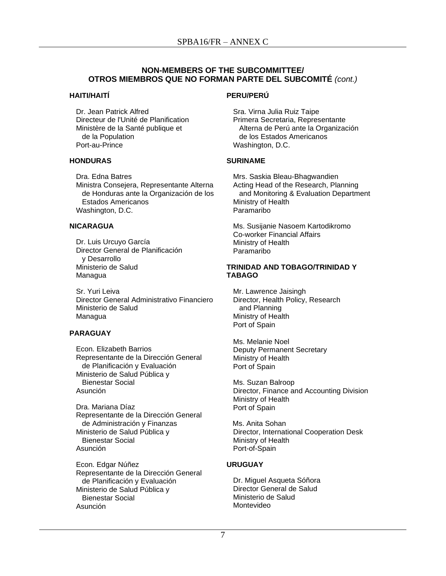### **NON-MEMBERS OF THE SUBCOMMITTEE/ OTROS MIEMBROS QUE NO FORMAN PARTE DEL SUBCOMITÉ** *(cont.)*

#### **HAITI/HAITÍ**

Dr. Jean Patrick Alfred Directeur de l'Unité de Planification Ministère de la Santé publique et de la Population Port-au-Prince

#### **HONDURAS**

Dra. Edna Batres Ministra Consejera, Representante Alterna de Honduras ante la Organización de los Estados Americanos Washington, D.C.

### **NICARAGUA**

Dr. Luis Urcuyo García Director General de Planificación y Desarrollo Ministerio de Salud Managua

Sr. Yuri Leiva Director General Administrativo Financiero Ministerio de Salud Managua

### **PARAGUAY**

Econ. Elizabeth Barrios Representante de la Dirección General de Planificación y Evaluación Ministerio de Salud Pública y Bienestar Social Asunción

Dra. Mariana Díaz Representante de la Dirección General de Administración y Finanzas Ministerio de Salud Pública y Bienestar Social Asunción

Econ. Edgar Núñez Representante de la Dirección General de Planificación y Evaluación Ministerio de Salud Pública y Bienestar Social Asunción

#### **PERU/PERÚ**

Sra. Virna Julia Ruiz Taipe Primera Secretaria, Representante Alterna de Perú ante la Organización de los Estados Americanos Washington, D.C.

#### **SURINAME**

Mrs. Saskia Bleau-Bhagwandien Acting Head of the Research, Planning and Monitoring & Evaluation Department Ministry of Health Paramaribo

Ms. Susijanie Nasoem Kartodikromo Co-worker Financial Affairs Ministry of Health Paramaribo

#### **TRINIDAD AND TOBAGO/TRINIDAD Y TABAGO**

Mr. Lawrence Jaisingh Director, Health Policy, Research and Planning Ministry of Health Port of Spain

Ms. Melanie Noel Deputy Permanent Secretary Ministry of Health Port of Spain

Ms. Suzan Balroop Director, Finance and Accounting Division Ministry of Health Port of Spain

 Ms. Anita Sohan Director, International Cooperation Desk Ministry of Health Port-of-Spain

### **URUGUAY**

Dr. Miguel Asqueta Sóñora Director General de Salud Ministerio de Salud Montevideo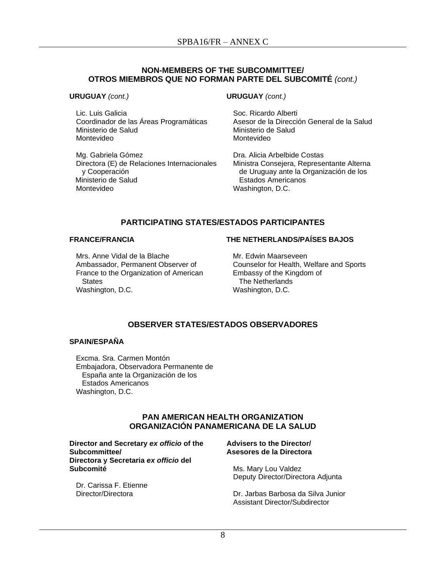#### **NON-MEMBERS OF THE SUBCOMMITTEE/ OTROS MIEMBROS QUE NO FORMAN PARTE DEL SUBCOMITÉ** *(cont.)*

**URUGUAY** *(cont.)*

Lic. Luis Galicia Coordinador de las Áreas Programáticas Ministerio de Salud Montevideo

Mg. Gabriela Gómez Directora (E) de Relaciones Internacionales y Cooperación Ministerio de Salud Montevideo

**URUGUAY** *(cont.)*

Soc. Ricardo Alberti Asesor de la Dirección General de la Salud Ministerio de Salud Montevideo

Dra. Alicia Arbelbide Costas Ministra Consejera, Representante Alterna de Uruguay ante la Organización de los Estados Americanos Washington, D.C.

### **PARTICIPATING STATES/ESTADOS PARTICIPANTES**

#### **FRANCE/FRANCIA**

#### **THE NETHERLANDS/PAÍSES BAJOS**

Mrs. Anne Vidal de la Blache Ambassador, Permanent Observer of France to the Organization of American **States** Washington, D.C.

Mr. Edwin Maarseveen Counselor for Health, Welfare and Sports Embassy of the Kingdom of The Netherlands Washington, D.C.

### **OBSERVER STATES/ESTADOS OBSERVADORES**

### **SPAIN/ESPAÑA**

Excma. Sra. Carmen Montón Embajadora, Observadora Permanente de España ante la Organización de los Estados Americanos Washington, D.C.

### **PAN AMERICAN HEALTH ORGANIZATION ORGANIZACIÓN PANAMERICANA DE LA SALUD**

**Director and Secretary** *ex officio* **of the Subcommittee/ Directora y Secretaria** *ex officio* **del Subcomité**

Dr. Carissa F. Etienne Director/Directora

#### **Advisers to the Director/ Asesores de la Directora**

Ms. Mary Lou Valdez Deputy Director/Directora Adjunta

Dr. Jarbas Barbosa da Silva Junior Assistant Director/Subdirector